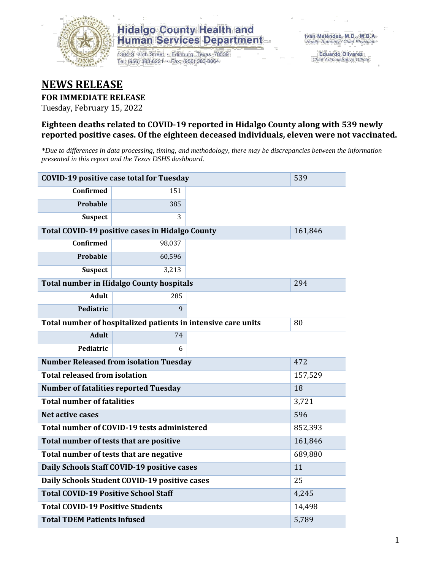

1304 S. 25th Street · Edinburg, Texas 78539 Tel: (956) 383-6221 · Fax: (956) 383-8864

**Eduardo Olivarez** Chief Administrative Officer

### **NEWS RELEASE**

### **FOR IMMEDIATE RELEASE**

Tuesday, February 15, 2022

#### **Eighteen deaths related to COVID-19 reported in Hidalgo County along with 539 newly reported positive cases. Of the eighteen deceased individuals, eleven were not vaccinated.**

*\*Due to differences in data processing, timing, and methodology, there may be discrepancies between the information presented in this report and the Texas DSHS dashboard.*

| <b>COVID-19 positive case total for Tuesday</b>               | 539                                             |       |         |
|---------------------------------------------------------------|-------------------------------------------------|-------|---------|
| <b>Confirmed</b>                                              | 151                                             |       |         |
| <b>Probable</b>                                               | 385                                             |       |         |
| <b>Suspect</b>                                                | 3                                               |       |         |
|                                                               | Total COVID-19 positive cases in Hidalgo County |       | 161,846 |
| <b>Confirmed</b>                                              | 98,037                                          |       |         |
| Probable                                                      | 60,596                                          |       |         |
| <b>Suspect</b>                                                | 3,213                                           |       |         |
|                                                               | <b>Total number in Hidalgo County hospitals</b> |       | 294     |
| <b>Adult</b>                                                  | 285                                             |       |         |
| Pediatric                                                     | 9                                               |       |         |
| Total number of hospitalized patients in intensive care units | 80                                              |       |         |
| <b>Adult</b>                                                  | 74                                              |       |         |
| Pediatric                                                     |                                                 |       |         |
| <b>Number Released from isolation Tuesday</b>                 |                                                 | 472   |         |
| <b>Total released from isolation</b>                          |                                                 |       | 157,529 |
| <b>Number of fatalities reported Tuesday</b>                  |                                                 |       | 18      |
| <b>Total number of fatalities</b>                             |                                                 |       | 3,721   |
| Net active cases                                              |                                                 |       | 596     |
|                                                               | Total number of COVID-19 tests administered     |       | 852,393 |
| Total number of tests that are positive                       |                                                 |       | 161,846 |
|                                                               | Total number of tests that are negative         |       | 689,880 |
|                                                               | Daily Schools Staff COVID-19 positive cases     |       | 11      |
|                                                               | Daily Schools Student COVID-19 positive cases   |       | 25      |
| <b>Total COVID-19 Positive School Staff</b>                   |                                                 |       | 4,245   |
| <b>Total COVID-19 Positive Students</b>                       |                                                 |       | 14,498  |
| <b>Total TDEM Patients Infused</b>                            |                                                 | 5,789 |         |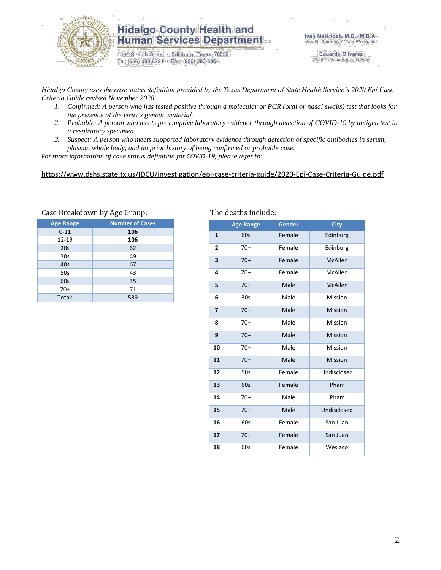

1304 S. 25th Street · Edinburg, Texas 78539 Tel: (956) 383-6221 · Fax: (956) 383-8864

**Eduardo Olivarez** Chief Administrative Officer

*Hidalgo County uses the case status definition provided by the Texas Department of State Health Service's 2020 Epi Case Criteria Guide revised November 2020.*

- *1. Confirmed: A person who has tested positive through a molecular or PCR (oral or nasal swabs) test that looks for the presence of the virus's genetic material.*
- *2. Probable: A person who meets presumptive laboratory evidence through detection of COVID-19 by antigen test in a respiratory specimen.*
- *3. Suspect: A person who meets supported laboratory evidence through detection of specific antibodies in serum, plasma, whole body, and no prior history of being confirmed or probable case.*

*For more information of case status definition for COVID-19, please refer to:*

<https://www.dshs.state.tx.us/IDCU/investigation/epi-case-criteria-guide/2020-Epi-Case-Criteria-Guide.pdf>

| <b>Age Range</b> | <b>Number of Cases</b> |
|------------------|------------------------|
| $0 - 11$         | 106                    |
| 12-19            | 106                    |
| 20s              | 62                     |
| 30 <sub>s</sub>  | 49                     |
| 40s              | 67                     |
| 50s              | 43                     |
| 60s              | 35                     |
| $70+$            | 71                     |
| Total:           | 539                    |

#### Case Breakdown by Age Group: The deaths include:

|                | <b>Age Range</b> | Gender | <b>City</b>    |
|----------------|------------------|--------|----------------|
| 1              | 60s              | Female | Edinburg       |
| $\overline{2}$ | $70+$            | Female | Edinburg       |
| 3              | $70+$            | Female | <b>McAllen</b> |
| 4              | $70+$            | Female | McAllen        |
| 5              | $70+$            | Male   | McAllen        |
| 6              | 30 <sub>s</sub>  | Male   | Mission        |
| 7              | $70+$            | Male   | <b>Mission</b> |
| 8              | $70+$            | Male   | Mission        |
| 9              | $70+$            | Male   | <b>Mission</b> |
| 10             | $70+$            | Male   | Mission        |
| 11             | $70+$            | Male   | <b>Mission</b> |
| 12             | 50s              | Female | Undisclosed    |
| 13             | 60s              | Female | Pharr          |
| 14             | $70+$            | Male   | Pharr          |
| 15             | $70+$            | Male   | Undisclosed    |
| 16             | 60s              | Female | San Juan       |
| 17             | $70+$            | Female | San Juan       |
| 18             | 60s              | Female | Weslaco        |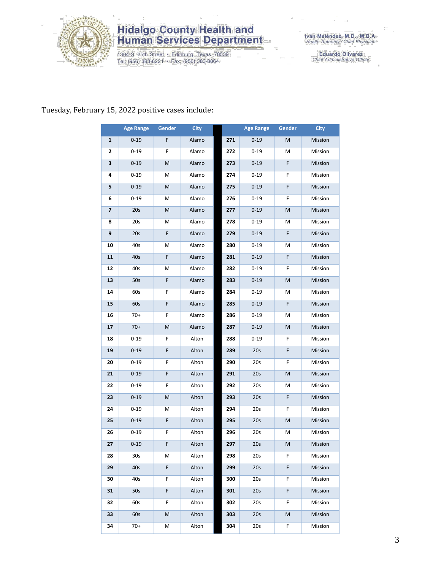

1304 S. 25th Street · Edinburg, Texas 78539<br>Tel: (956) 383-6221 · Fax: (956) 383-8864

Eduardo Olivarez<br>Chief Administrative Officer

#### Tuesday, February 15, 2022 positive cases include:

|                         | <b>Age Range</b> | <b>Gender</b> | <b>City</b> |     | <b>Age Range</b> | Gender | <b>City</b> |
|-------------------------|------------------|---------------|-------------|-----|------------------|--------|-------------|
| 1                       | $0 - 19$         | F             | Alamo       | 271 | $0 - 19$         | M      | Mission     |
| 2                       | $0 - 19$         | F             | Alamo       | 272 | $0 - 19$         | М      | Mission     |
| 3                       | $0 - 19$         | М             | Alamo       | 273 | $0 - 19$         | F      | Mission     |
| 4                       | $0 - 19$         | M             | Alamo       | 274 | $0 - 19$         | F      | Mission     |
| 5                       | $0 - 19$         | M             | Alamo       | 275 | $0 - 19$         | F      | Mission     |
| 6                       | $0 - 19$         | М             | Alamo       | 276 | $0 - 19$         | F      | Mission     |
| $\overline{\mathbf{z}}$ | 20s              | M             | Alamo       | 277 | $0 - 19$         | M      | Mission     |
| 8                       | 20s              | М             | Alamo       | 278 | $0 - 19$         | М      | Mission     |
| 9                       | 20s              | F             | Alamo       | 279 | $0 - 19$         | F      | Mission     |
| 10                      | 40s              | M             | Alamo       | 280 | $0 - 19$         | М      | Mission     |
| 11                      | 40s              | F             | Alamo       | 281 | $0 - 19$         | F      | Mission     |
| 12                      | 40s              | М             | Alamo       | 282 | $0 - 19$         | F      | Mission     |
| 13                      | 50s              | F             | Alamo       | 283 | $0 - 19$         | M      | Mission     |
| 14                      | 60s              | F             | Alamo       | 284 | $0 - 19$         | М      | Mission     |
| 15                      | 60s              | F             | Alamo       | 285 | $0 - 19$         | F      | Mission     |
| 16                      | $70+$            | F             | Alamo       | 286 | $0 - 19$         | М      | Mission     |
| 17                      | $70+$            | M             | Alamo       | 287 | $0 - 19$         | M      | Mission     |
| 18                      | $0 - 19$         | F             | Alton       | 288 | $0 - 19$         | F      | Mission     |
| 19                      | $0 - 19$         | F             | Alton       | 289 | 20s              | F      | Mission     |
| 20                      | $0 - 19$         | F             | Alton       | 290 | 20s              | F      | Mission     |
| 21                      | $0 - 19$         | F             | Alton       | 291 | 20s              | M      | Mission     |
| 22                      | $0 - 19$         | F             | Alton       | 292 | 20s              | М      | Mission     |
| 23                      | $0 - 19$         | M             | Alton       | 293 | 20s              | F      | Mission     |
| 24                      | $0 - 19$         | М             | Alton       | 294 | 20s              | F      | Mission     |
| 25                      | $0 - 19$         | F             | Alton       | 295 | 20s              | M      | Mission     |
| 26                      | $0 - 19$         | F             | Alton       | 296 | 20s              | М      | Mission     |
| 27                      | $0 - 19$         | F             | Alton       | 297 | 20s              | M      | Mission     |
| 28                      | 30s              | М             | Alton       | 298 | 20s              | F      | Mission     |
| 29                      | 40s              | F.            | Alton       | 299 | 20s              | F      | Mission     |
| 30                      | 40s              | F.            | Alton       | 300 | 20s              | F      | Mission     |
| 31                      | 50s              | F.            | Alton       | 301 | 20s              | F      | Mission     |
| 32                      | 60s              | F             | Alton       | 302 | 20s              | F      | Mission     |
| 33                      | 60s              | M             | Alton       | 303 | 20s              | M      | Mission     |
| 34                      | 70+              | М             | Alton       | 304 | 20s              | F      | Mission     |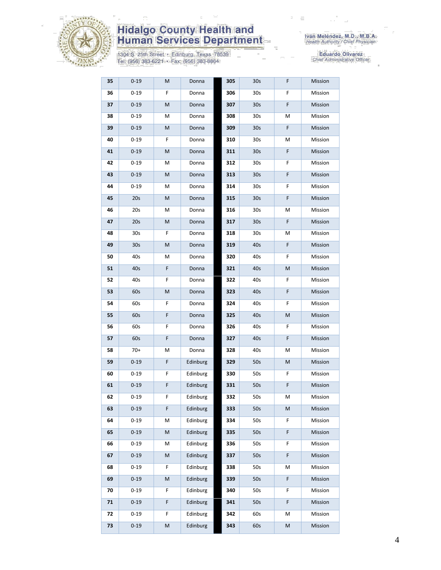

1304 S. 25th Street • Edinburg, Texas 78539<br>Tel: (956) 383-6221 • Fax: (956) 383-8864

| 35 | $0 - 19$        | М | Donna    | 305 | 30 <sub>s</sub> | F | Mission |
|----|-----------------|---|----------|-----|-----------------|---|---------|
| 36 | $0 - 19$        | F | Donna    | 306 | 30s             | F | Mission |
| 37 | $0 - 19$        | M | Donna    | 307 | 30 <sub>s</sub> | F | Mission |
| 38 | $0 - 19$        | М | Donna    | 308 | 30s             | М | Mission |
| 39 | $0 - 19$        | M | Donna    | 309 | 30 <sub>s</sub> | F | Mission |
| 40 | $0 - 19$        | F | Donna    | 310 | 30s             | М | Mission |
| 41 | $0 - 19$        | М | Donna    | 311 | 30 <sub>s</sub> | F | Mission |
| 42 | $0 - 19$        | М | Donna    | 312 | 30s             | F | Mission |
| 43 | $0 - 19$        | M | Donna    | 313 | 30 <sub>s</sub> | F | Mission |
| 44 | $0 - 19$        | M | Donna    | 314 | 30s             | F | Mission |
| 45 | 20s             | M | Donna    | 315 | 30 <sub>s</sub> | F | Mission |
| 46 | 20s             | М | Donna    | 316 | 30s             | М | Mission |
| 47 | 20s             | М | Donna    | 317 | 30 <sub>s</sub> | F | Mission |
| 48 | 30s             | F | Donna    | 318 | 30s             | М | Mission |
| 49 | 30 <sub>s</sub> | M | Donna    | 319 | 40s             | F | Mission |
| 50 | 40s             | М | Donna    | 320 | 40s             | F | Mission |
| 51 | 40s             | F | Donna    | 321 | 40s             | M | Mission |
| 52 | 40s             | F | Donna    | 322 | 40s             | F | Mission |
| 53 | 60s             | М | Donna    | 323 | 40s             | F | Mission |
| 54 | 60s             | F | Donna    | 324 | 40s             | F | Mission |
| 55 | 60s             | F | Donna    | 325 | 40s             | M | Mission |
| 56 | 60s             | F | Donna    | 326 | 40s             | F | Mission |
| 57 | 60s             | F | Donna    | 327 | 40s             | F | Mission |
| 58 | 70+             | М | Donna    | 328 | 40s             | М | Mission |
| 59 | $0 - 19$        | F | Edinburg | 329 | 50s             | M | Mission |
| 60 | $0 - 19$        | F | Edinburg | 330 | 50s             | F | Mission |
| 61 | $0 - 19$        | F | Edinburg | 331 | 50s             | F | Mission |
| 62 | $0 - 19$        | F | Edinburg | 332 | 50s             | М | Mission |
| 63 | $0 - 19$        | F | Edinburg | 333 | 50s             | M | Mission |
| 64 | $0 - 19$        | Μ | Edinburg | 334 | 50s             | F | Mission |
| 65 | $0 - 19$        | M | Edinburg | 335 | 50s             | F | Mission |
| 66 | $0 - 19$        | М | Edinburg | 336 | 50s             | F | Mission |
| 67 | $0 - 19$        | M | Edinburg | 337 | 50s             | F | Mission |
| 68 | $0 - 19$        | F | Edinburg | 338 | 50s             | М | Mission |
| 69 | $0 - 19$        | M | Edinburg | 339 | 50s             | F | Mission |
| 70 | $0 - 19$        | F | Edinburg | 340 | 50s             | F | Mission |
| 71 | $0 - 19$        | F | Edinburg | 341 | 50s             | F | Mission |
| 72 | $0 - 19$        | F | Edinburg | 342 | 60s             | М | Mission |
| 73 | $0 - 19$        | M | Edinburg | 343 | 60s             | M | Mission |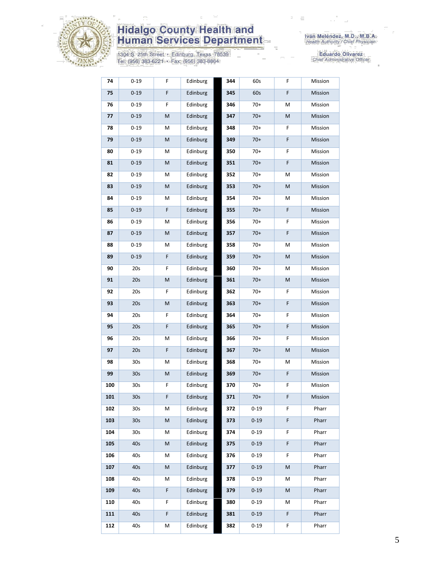

1304 S. 25th Street • Edinburg, Texas 78539<br>Tel: (956) 383-6221 • Fax: (956) 383-8864

| 74  | $0 - 19$        | F | Edinburg | 344 | 60s      | F  | Mission |
|-----|-----------------|---|----------|-----|----------|----|---------|
| 75  | $0 - 19$        | F | Edinburg | 345 | 60s      | F  | Mission |
| 76  | $0 - 19$        | F | Edinburg | 346 | $70+$    | М  | Mission |
| 77  | $0 - 19$        | M | Edinburg | 347 | $70+$    | M  | Mission |
| 78  | $0 - 19$        | М | Edinburg | 348 | $70+$    | F  | Mission |
| 79  | $0 - 19$        | M | Edinburg | 349 | $70+$    | F  | Mission |
| 80  | $0 - 19$        | М | Edinburg | 350 | $70+$    | F  | Mission |
| 81  | $0 - 19$        | M | Edinburg | 351 | $70+$    | F  | Mission |
| 82  | $0 - 19$        | М | Edinburg | 352 | $70+$    | М  | Mission |
| 83  | $0 - 19$        | M | Edinburg | 353 | $70+$    | M  | Mission |
| 84  | $0 - 19$        | М | Edinburg | 354 | $70+$    | М  | Mission |
| 85  | $0 - 19$        | F | Edinburg | 355 | $70+$    | F  | Mission |
| 86  | $0 - 19$        | М | Edinburg | 356 | $70+$    | F  | Mission |
| 87  | $0 - 19$        | M | Edinburg | 357 | $70+$    | F  | Mission |
| 88  | $0 - 19$        | М | Edinburg | 358 | 70+      | М  | Mission |
| 89  | $0 - 19$        | F | Edinburg | 359 | $70+$    | M  | Mission |
| 90  | 20s             | F | Edinburg | 360 | $70+$    | М  | Mission |
| 91  | 20s             | M | Edinburg | 361 | $70+$    | M  | Mission |
| 92  | 20s             | F | Edinburg | 362 | $70+$    | F  | Mission |
| 93  | 20s             | M | Edinburg | 363 | $70+$    | F  | Mission |
| 94  | 20s             | F | Edinburg | 364 | $70+$    | F  | Mission |
| 95  | 20s             | F | Edinburg | 365 | $70+$    | F  | Mission |
| 96  | 20s             | М | Edinburg | 366 | $70+$    | F  | Mission |
| 97  | 20s             | F | Edinburg | 367 | $70+$    | M  | Mission |
| 98  | 30s             | М | Edinburg | 368 | $70+$    | М  | Mission |
| 99  | 30 <sub>s</sub> | M | Edinburg | 369 | $70+$    | F  | Mission |
| 100 | 30 <sub>s</sub> | F | Edinburg | 370 | $70+$    | F  | Mission |
| 101 | 30s             | F | Edinburg | 371 | $70+$    | F  | Mission |
| 102 | 30s             | М | Edinburg | 372 | 0-19     | F  | Pharr   |
| 103 | 30 <sub>s</sub> | M | Edinburg | 373 | $0 - 19$ | F  | Pharr   |
| 104 | 30 <sub>s</sub> | М | Edinburg | 374 | $0 - 19$ | F. | Pharr   |
| 105 | 40s             | M | Edinburg | 375 | $0 - 19$ | F  | Pharr   |
| 106 | 40s             | М | Edinburg | 376 | $0 - 19$ | F  | Pharr   |
| 107 | 40s             | M | Edinburg | 377 | $0 - 19$ | M  | Pharr   |
| 108 | 40s             | М | Edinburg | 378 | $0 - 19$ | м  | Pharr   |
| 109 | 40s             | F | Edinburg | 379 | $0 - 19$ | M  | Pharr   |
| 110 | 40s             | F | Edinburg | 380 | $0 - 19$ | м  | Pharr   |
| 111 | 40s             | F | Edinburg | 381 | $0 - 19$ | F. | Pharr   |
| 112 | 40s             | Μ | Edinburg | 382 | $0 - 19$ | F. | Pharr   |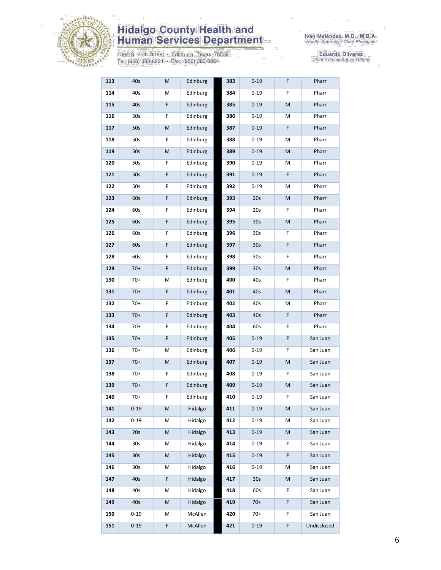

1304 S. 25th Street • Edinburg, Texas 78539<br>Tel: (956) 383-6221 • Fax: (956) 383-8864

| 113 | 40s             | M | Edinburg        | 383 | $0 - 19$        | F  | Pharr       |
|-----|-----------------|---|-----------------|-----|-----------------|----|-------------|
| 114 | 40s             | М | Edinburg        | 384 | $0 - 19$        | F  | Pharr       |
| 115 | 40s             | F | Edinburg        | 385 | $0 - 19$        | M  | Pharr       |
| 116 | 50s             | F | Edinburg        | 386 | $0 - 19$        | М  | Pharr       |
| 117 | 50s             | M | Edinburg        | 387 | $0 - 19$        | F  | Pharr       |
| 118 | 50s             | F | Edinburg        | 388 | $0 - 19$        | М  | Pharr       |
| 119 | 50s             | M | Edinburg        | 389 | $0 - 19$        | M  | Pharr       |
| 120 | 50s             | F | Edinburg        | 390 | $0 - 19$        | м  | Pharr       |
| 121 | 50s             | F | Edinburg        | 391 | $0 - 19$        | F  | Pharr       |
| 122 | 50s             | F | Edinburg        | 392 | $0 - 19$        | Μ  | Pharr       |
| 123 | 60s             | F | Edinburg        | 393 | 20s             | M  | Pharr       |
| 124 | 60s             | F | Edinburg        | 394 | 20s             | F  | Pharr       |
| 125 | 60s             | F | Edinburg        | 395 | 30 <sub>s</sub> | M  | Pharr       |
| 126 | 60s             | F | Edinburg        | 396 | 30s             | F  | Pharr       |
| 127 | 60s             | F | Edinburg        | 397 | 30 <sub>s</sub> | F  | Pharr       |
| 128 | 60s             | F | Edinburg        | 398 | 30s             | F  | Pharr       |
| 129 | $70+$           | F | Edinburg        | 399 | 30 <sub>s</sub> | M  | Pharr       |
| 130 | $70+$           | М | Edinburg        | 400 | 40s             | F. | Pharr       |
| 131 | $70+$           | F | Edinburg        | 401 | 40s             | M  | Pharr       |
| 132 | $70+$           | F | Edinburg        | 402 | 40s             | Μ  | Pharr       |
| 133 | $70+$           | F | Edinburg        | 403 | 40s             | F  | Pharr       |
| 134 | $70+$           | F | Edinburg        | 404 | 60s             | F  | Pharr       |
| 135 | $70+$           | F | <b>Edinburg</b> | 405 | $0 - 19$        | F  | San Juan    |
| 136 | 70+             | М | Edinburg        | 406 | 0-19            | F  | San Juan    |
| 137 | $70+$           | M | Edinburg        | 407 | $0 - 19$        | M  | San Juan    |
| 138 | $70+$           | F | Edinburg        | 408 | $0 - 19$        | F  | San Juan    |
| 139 | $70+$           | F | Edinburg        | 409 | $0 - 19$        | M  | San Juan    |
| 140 | $70+$           | F | Edinburg        | 410 | $0 - 19$        | F  | San Juan    |
| 141 | $0 - 19$        | M | Hidalgo         | 411 | $0 - 19$        | M  | San Juan    |
| 142 | $0 - 19$        | М | Hidalgo         | 412 | $0 - 19$        | М  | San Juan    |
| 143 | 20s             | M | Hidalgo         | 413 | $0 - 19$        | М  | San Juan    |
| 144 | 30 <sub>s</sub> | М | Hidalgo         | 414 | $0 - 19$        | F  | San Juan    |
| 145 | 30 <sub>s</sub> | M | Hidalgo         | 415 | $0 - 19$        | F  | San Juan    |
| 146 | 30 <sub>s</sub> | М | Hidalgo         | 416 | $0 - 19$        | Μ  | San Juan    |
| 147 | 40s             | F | Hidalgo         | 417 | 30 <sub>s</sub> | M  | San Juan    |
| 148 | 40s             | Μ | Hidalgo         | 418 | 60s             | F  | San Juan    |
| 149 | 40s             | M | Hidalgo         | 419 | $70+$           | F  | San Juan    |
| 150 | $0 - 19$        | м | McAllen         | 420 | 70+             | F  | San Juan    |
| 151 | $0 - 19$        | F | McAllen         | 421 | $0 - 19$        | F  | Undisclosed |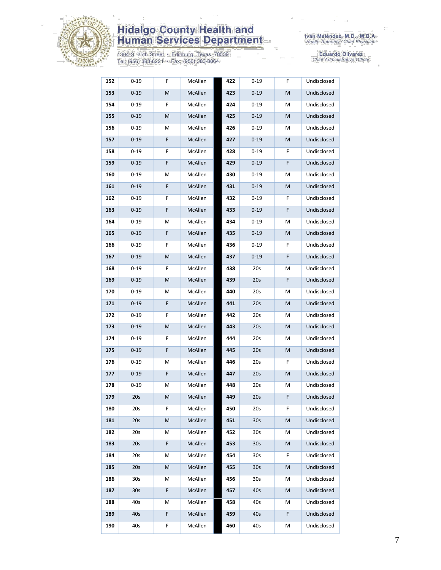

1304 S. 25th Street • Edinburg, Texas 78539<br>Tel: (956) 383-6221 • Fax: (956) 383-8864

| 152 | $0 - 19$        | F | McAllen | 422 | $0 - 19$        | F | Undisclosed |
|-----|-----------------|---|---------|-----|-----------------|---|-------------|
| 153 | $0 - 19$        | М | McAllen | 423 | $0 - 19$        | M | Undisclosed |
| 154 | $0 - 19$        | F | McAllen | 424 | $0 - 19$        | М | Undisclosed |
| 155 | $0 - 19$        | M | McAllen | 425 | $0 - 19$        | M | Undisclosed |
| 156 | $0 - 19$        | М | McAllen | 426 | $0 - 19$        | М | Undisclosed |
| 157 | $0 - 19$        | F | McAllen | 427 | $0 - 19$        | M | Undisclosed |
| 158 | $0 - 19$        | F | McAllen | 428 | $0 - 19$        | F | Undisclosed |
| 159 | $0 - 19$        | F | McAllen | 429 | $0 - 19$        | F | Undisclosed |
| 160 | $0 - 19$        | м | McAllen | 430 | $0 - 19$        | M | Undisclosed |
| 161 | $0 - 19$        | F | McAllen | 431 | $0 - 19$        | M | Undisclosed |
| 162 | $0 - 19$        | F | McAllen | 432 | $0 - 19$        | F | Undisclosed |
| 163 | $0 - 19$        | F | McAllen | 433 | $0 - 19$        | F | Undisclosed |
| 164 | $0 - 19$        | М | McAllen | 434 | $0 - 19$        | M | Undisclosed |
| 165 | $0 - 19$        | F | McAllen | 435 | $0 - 19$        | M | Undisclosed |
| 166 | $0 - 19$        | F | McAllen | 436 | $0 - 19$        | F | Undisclosed |
| 167 | $0 - 19$        | M | McAllen | 437 | $0 - 19$        | F | Undisclosed |
| 168 | $0 - 19$        | F | McAllen | 438 | 20s             | M | Undisclosed |
| 169 | $0 - 19$        | M | McAllen | 439 | 20s             | F | Undisclosed |
| 170 | $0 - 19$        | М | McAllen | 440 | 20s             | M | Undisclosed |
| 171 | $0 - 19$        | F | McAllen | 441 | 20s             | M | Undisclosed |
| 172 | $0 - 19$        | F | McAllen | 442 | 20s             | M | Undisclosed |
| 173 | $0 - 19$        | М | McAllen | 443 | 20s             | M | Undisclosed |
| 174 | $0 - 19$        | F | McAllen | 444 | 20s             | М | Undisclosed |
| 175 | $0 - 19$        | F | McAllen | 445 | 20s             | M | Undisclosed |
| 176 | $0 - 19$        | М | McAllen | 446 | 20s             | F | Undisclosed |
| 177 | $0 - 19$        | F | McAllen | 447 | 20s             | M | Undisclosed |
| 178 | 0-19            | Μ | McAllen | 448 | 20s             | M | Undisclosed |
| 179 | 20s             | M | McAllen | 449 | 20s             | F | Undisclosed |
| 180 | 20s             | F | McAllen | 450 | 20s             | F | Undisclosed |
| 181 | 20s             | М | McAllen | 451 | 30 <sub>s</sub> | M | Undisclosed |
| 182 | 20s             | Μ | McAllen | 452 | 30s             | Μ | Undisclosed |
| 183 | 20s             | F | McAllen | 453 | 30 <sub>s</sub> | M | Undisclosed |
| 184 | 20s             | Μ | McAllen | 454 | 30s             | F | Undisclosed |
| 185 | 20s             | М | McAllen | 455 | 30s             | M | Undisclosed |
| 186 | 30s             | Μ | McAllen | 456 | 30s             | М | Undisclosed |
| 187 | 30 <sub>s</sub> | F | McAllen | 457 | 40s             | M | Undisclosed |
| 188 | 40s             | Μ | McAllen | 458 | 40s             | М | Undisclosed |
| 189 | 40s             | F | McAllen | 459 | 40s             | F | Undisclosed |
| 190 | 40s             | F | McAllen | 460 | 40s             | М | Undisclosed |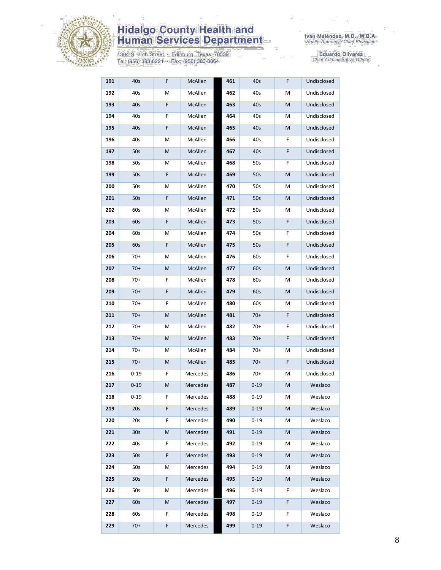

1304 S. 25th Street · Edinburg, Texas 78539<br>Tel: (956) 383-6221 · Fax: (956) 383-8864

| 191 | 40s             | F | McAllen  | 461 | 40s      | F  | Undisclosed |
|-----|-----------------|---|----------|-----|----------|----|-------------|
| 192 | 40s             | M | McAllen  | 462 | 40s      | М  | Undisclosed |
| 193 | 40s             | F | McAllen  | 463 | 40s      | M  | Undisclosed |
| 194 | 40s             | F | McAllen  | 464 | 40s      | М  | Undisclosed |
| 195 | 40s             | F | McAllen  | 465 | 40s      | M  | Undisclosed |
| 196 | 40s             | M | McAllen  | 466 | 40s      | F  | Undisclosed |
| 197 | 50s             | M | McAllen  | 467 | 40s      | F  | Undisclosed |
| 198 | 50s             | M | McAllen  | 468 | 50s      | F  | Undisclosed |
| 199 | 50s             | F | McAllen  | 469 | 50s      | M  | Undisclosed |
| 200 | 50s             | M | McAllen  | 470 | 50s      | М  | Undisclosed |
| 201 | 50s             | F | McAllen  | 471 | 50s      | M  | Undisclosed |
| 202 | 60s             | M | McAllen  | 472 | 50s      | М  | Undisclosed |
| 203 | 60s             | F | McAllen  | 473 | 50s      | F  | Undisclosed |
| 204 | 60s             | M | McAllen  | 474 | 50s      | F  | Undisclosed |
| 205 | 60s             | F | McAllen  | 475 | 50s      | F  | Undisclosed |
| 206 | 70+             | M | McAllen  | 476 | 60s      | F  | Undisclosed |
| 207 | $70+$           | M | McAllen  | 477 | 60s      | M  | Undisclosed |
| 208 | 70+             | F | McAllen  | 478 | 60s      | М  | Undisclosed |
| 209 | $70+$           | F | McAllen  | 479 | 60s      | M  | Undisclosed |
| 210 | 70+             | F | McAllen  | 480 | 60s      | м  | Undisclosed |
| 211 | $70+$           | M | McAllen  | 481 | $70+$    | F  | Undisclosed |
| 212 | 70+             | M | McAllen  | 482 | 70+      | F  | Undisclosed |
| 213 | $70+$           | M | McAllen  | 483 | $70+$    | F  | Undisclosed |
| 214 | 70+             | M | McAllen  | 484 | $70+$    | М  | Undisclosed |
| 215 | $70+$           | M | McAllen  | 485 | $70+$    | F  | Undisclosed |
| 216 | $0 - 19$        | F | Mercedes | 486 | 70+      | М  | Undisclosed |
| 217 | $0 - 19$        | M | Mercedes | 487 | $0 - 19$ | M  | Weslaco     |
| 218 | $0 - 19$        | F | Mercedes | 488 | $0 - 19$ | М  | Weslaco     |
| 219 | 20s             | F | Mercedes | 489 | $0 - 19$ | M  | Weslaco     |
| 220 | 20s             | F | Mercedes | 490 | $0 - 19$ | М  | Weslaco     |
| 221 | 30 <sub>s</sub> | M | Mercedes | 491 | $0 - 19$ | M  | Weslaco     |
| 222 | 40s             | F | Mercedes | 492 | $0 - 19$ | М  | Weslaco     |
| 223 | 50s             | F | Mercedes | 493 | $0 - 19$ | M  | Weslaco     |
| 224 | 50s             | М | Mercedes | 494 | $0 - 19$ | М  | Weslaco     |
| 225 | 50s             | F | Mercedes | 495 | $0 - 19$ | M  | Weslaco     |
| 226 | 50s             | М | Mercedes | 496 | $0 - 19$ | F  | Weslaco     |
| 227 | 60s             | M | Mercedes | 497 | $0 - 19$ | F. | Weslaco     |
| 228 | 60s             | F | Mercedes | 498 | $0 - 19$ | F  | Weslaco     |
| 229 | $70+$           | F | Mercedes | 499 | $0 - 19$ | F  | Weslaco     |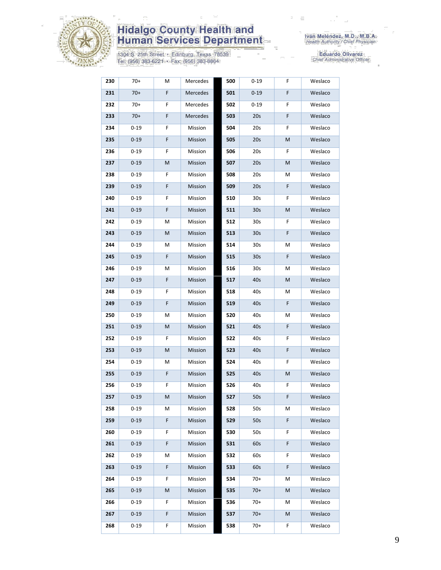

1304 S. 25th Street • Edinburg, Texas 78539<br>Tel: (956) 383-6221 • Fax: (956) 383-8864

| 230 | 70+      | Μ | Mercedes | 500 | $0 - 19$        | F | Weslaco |
|-----|----------|---|----------|-----|-----------------|---|---------|
| 231 | $70+$    | F | Mercedes | 501 | $0 - 19$        | F | Weslaco |
| 232 | $70+$    | F | Mercedes | 502 | $0 - 19$        | F | Weslaco |
| 233 | $70+$    | F | Mercedes | 503 | 20s             | F | Weslaco |
| 234 | $0 - 19$ | F | Mission  | 504 | 20s             | F | Weslaco |
| 235 | $0 - 19$ | F | Mission  | 505 | 20s             | M | Weslaco |
| 236 | $0 - 19$ | F | Mission  | 506 | 20s             | F | Weslaco |
| 237 | $0 - 19$ | M | Mission  | 507 | 20s             | M | Weslaco |
| 238 | $0 - 19$ | F | Mission  | 508 | 20s             | Μ | Weslaco |
| 239 | $0 - 19$ | F | Mission  | 509 | 20s             | F | Weslaco |
| 240 | $0 - 19$ | F | Mission  | 510 | 30s             | F | Weslaco |
| 241 | $0 - 19$ | F | Mission  | 511 | 30 <sub>s</sub> | M | Weslaco |
| 242 | $0 - 19$ | Μ | Mission  | 512 | 30s             | F | Weslaco |
| 243 | $0 - 19$ | M | Mission  | 513 | 30 <sub>s</sub> | F | Weslaco |
| 244 | $0 - 19$ | М | Mission  | 514 | 30s             | Μ | Weslaco |
| 245 | $0 - 19$ | F | Mission  | 515 | 30s             | F | Weslaco |
| 246 | $0 - 19$ | М | Mission  | 516 | 30s             | М | Weslaco |
| 247 | $0 - 19$ | F | Mission  | 517 | 40s             | M | Weslaco |
| 248 | $0 - 19$ | F | Mission  | 518 | 40s             | Μ | Weslaco |
| 249 | $0 - 19$ | F | Mission  | 519 | 40s             | F | Weslaco |
| 250 | $0 - 19$ | Μ | Mission  | 520 | 40s             | М | Weslaco |
| 251 | $0 - 19$ | M | Mission  | 521 | 40s             | F | Weslaco |
| 252 | $0 - 19$ | F | Mission  | 522 | 40s             | F | Weslaco |
| 253 | $0 - 19$ | М | Mission  | 523 | 40s             | F | Weslaco |
| 254 | $0 - 19$ | M | Mission  | 524 | 40s             | F | Weslaco |
| 255 | $0 - 19$ | F | Mission  | 525 | 40s             | M | Weslaco |
| 256 | $0 - 19$ | F | Mission  | 526 | 40s             | F | Weslaco |
| 257 | $0 - 19$ | M | Mission  | 527 | 50s             | F | Weslaco |
| 258 | $0 - 19$ | М | Mission  | 528 | 50s             | М | Weslaco |
| 259 | $0 - 19$ | F | Mission  | 529 | 50s             | F | Weslaco |
| 260 | $0 - 19$ | F | Mission  | 530 | 50s             | F | Weslaco |
| 261 | $0 - 19$ | F | Mission  | 531 | 60s             | F | Weslaco |
| 262 | $0 - 19$ | Μ | Mission  | 532 | 60s             | F | Weslaco |
| 263 | $0 - 19$ | F | Mission  | 533 | 60s             | F | Weslaco |
| 264 | $0 - 19$ | F | Mission  | 534 | $70+$           | М | Weslaco |
| 265 | $0 - 19$ | M | Mission  | 535 | $70+$           | M | Weslaco |
| 266 | $0 - 19$ | F | Mission  | 536 | $70+$           | М | Weslaco |
| 267 | $0 - 19$ | F | Mission  | 537 | $70+$           | M | Weslaco |
| 268 | $0 - 19$ | F | Mission  | 538 | $70+$           | F | Weslaco |